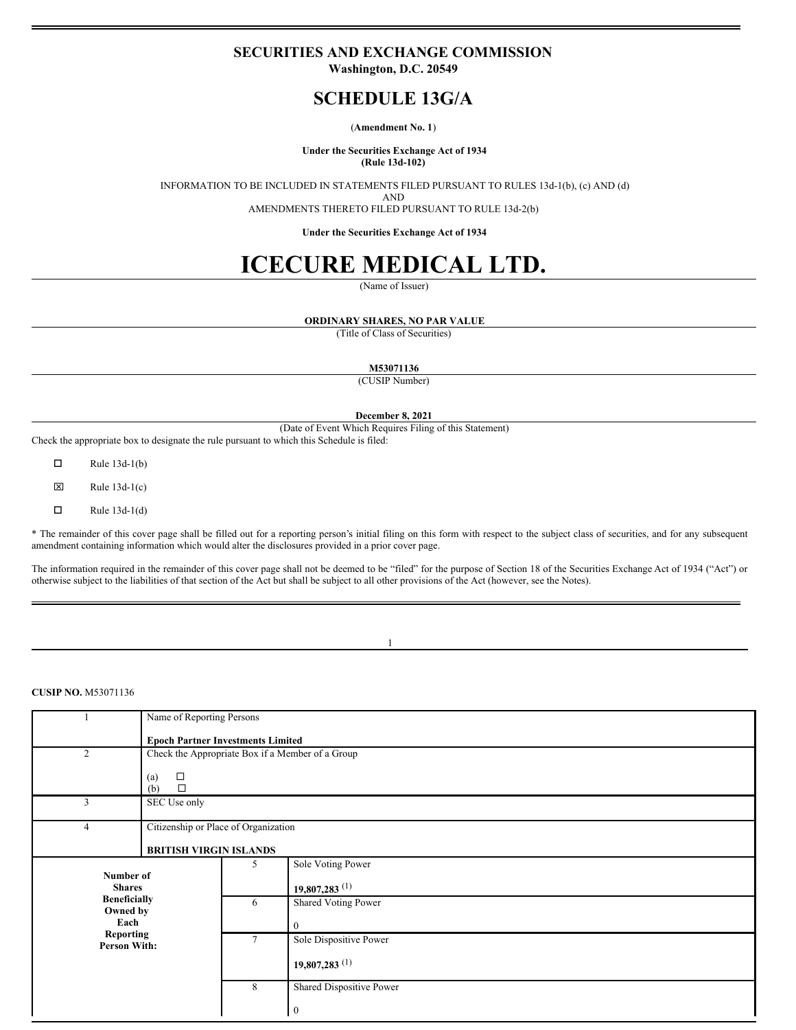## **SECURITIES AND EXCHANGE COMMISSION**

**Washington, D.C. 20549**

# **SCHEDULE 13G/A**

#### (**Amendment No. 1**)

#### **Under the Securities Exchange Act of 1934 (Rule 13d-102)**

INFORMATION TO BE INCLUDED IN STATEMENTS FILED PURSUANT TO RULES 13d-1(b), (c) AND (d)

AND

AMENDMENTS THERETO FILED PURSUANT TO RULE 13d-2(b)

**Under the Securities Exchange Act of 1934**

# **ICECURE MEDICAL LTD.**

(Name of Issuer)

### **ORDINARY SHARES, NO PAR VALUE**

(Title of Class of Securities)

**M53071136**

(CUSIP Number)

**December 8, 2021**

(Date of Event Which Requires Filing of this Statement)

Check the appropriate box to designate the rule pursuant to which this Schedule is filed:

 $\Box$  Rule 13d-1(b)

 $\boxtimes$  Rule 13d-1(c)

 $\Box$  Rule 13d-1(d)

\* The remainder of this cover page shall be filled out for a reporting person's initial filing on this form with respect to the subject class of securities, and for any subsequent amendment containing information which would alter the disclosures provided in a prior cover page.

The information required in the remainder of this cover page shall not be deemed to be "filed" for the purpose of Section 18 of the Securities Exchange Act of 1934 ("Act") or otherwise subject to the liabilities of that section of the Act but shall be subject to all other provisions of the Act (however, see the Notes).

1

## **CUSIP NO.** M53071136

|                                                                                                                  | Name of Reporting Persons                    |                                                  |                             |  |
|------------------------------------------------------------------------------------------------------------------|----------------------------------------------|--------------------------------------------------|-----------------------------|--|
|                                                                                                                  | <b>Epoch Partner Investments Limited</b>     |                                                  |                             |  |
| 2                                                                                                                |                                              | Check the Appropriate Box if a Member of a Group |                             |  |
|                                                                                                                  | $\Box$<br>$\left( a\right)$<br>$\Box$<br>(b) |                                                  |                             |  |
| 3                                                                                                                | SEC Use only                                 |                                                  |                             |  |
| 4                                                                                                                | Citizenship or Place of Organization         |                                                  |                             |  |
|                                                                                                                  | <b>BRITISH VIRGIN ISLANDS</b>                |                                                  |                             |  |
| Number of<br><b>Shares</b><br><b>Beneficially</b><br>Owned by<br>Each<br><b>Reporting</b><br><b>Person With:</b> |                                              | 5                                                | Sole Voting Power           |  |
|                                                                                                                  |                                              |                                                  | $19,807,283$ <sup>(1)</sup> |  |
|                                                                                                                  |                                              | 6                                                | <b>Shared Voting Power</b>  |  |
|                                                                                                                  |                                              |                                                  | $\theta$                    |  |
|                                                                                                                  |                                              | 7                                                | Sole Dispositive Power      |  |
|                                                                                                                  |                                              |                                                  | $19,807,283$ <sup>(1)</sup> |  |
|                                                                                                                  |                                              | 8                                                | Shared Dispositive Power    |  |
|                                                                                                                  |                                              |                                                  | $\boldsymbol{0}$            |  |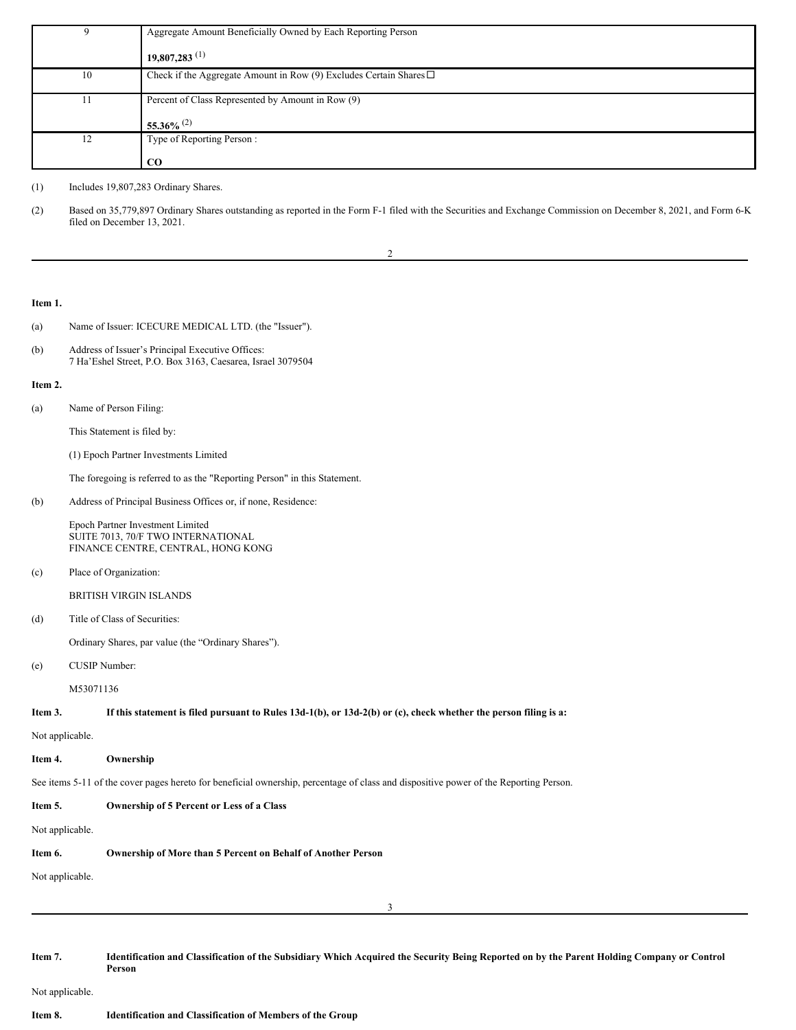| 9  | Aggregate Amount Beneficially Owned by Each Reporting Person               |  |  |
|----|----------------------------------------------------------------------------|--|--|
|    | $19,807,283$ <sup>(1)</sup>                                                |  |  |
| 10 | Check if the Aggregate Amount in Row (9) Excludes Certain Shares $\square$ |  |  |
| 11 | Percent of Class Represented by Amount in Row (9)                          |  |  |
|    | 55.36% $^{(2)}$                                                            |  |  |
| 12 | Type of Reporting Person:                                                  |  |  |
|    | $_{\rm CO}$                                                                |  |  |

(1) Includes 19,807,283 Ordinary Shares.

(2) Based on 35,779,897 Ordinary Shares outstanding as reported in the Form F-1 filed with the Securities and Exchange Commission on December 8, 2021, and Form 6-K filed on December 13, 2021.

2

**Item 1.**

- (a) Name of Issuer: ICECURE MEDICAL LTD. (the "Issuer").
- (b) Address of Issuer's Principal Executive Offices: 7 Ha'Eshel Street, P.O. Box 3163, Caesarea, Israel 3079504

#### **Item 2.**

(a) Name of Person Filing:

This Statement is filed by:

(1) Epoch Partner Investments Limited

The foregoing is referred to as the "Reporting Person" in this Statement.

(b) Address of Principal Business Offices or, if none, Residence:

Epoch Partner Investment Limited SUITE 7013, 70/F TWO INTERNATIONAL FINANCE CENTRE, CENTRAL, HONG KONG

(c) Place of Organization:

BRITISH VIRGIN ISLANDS

(d) Title of Class of Securities:

Ordinary Shares, par value (the "Ordinary Shares").

(e) CUSIP Number:

M53071136

#### If this statement is filed pursuant to Rules 13d-1(b), or 13d-2(b) or (c), check whether the person filing is a:

Not applicable.

#### **Item 4. Ownership**

See items 5-11 of the cover pages hereto for beneficial ownership, percentage of class and dispositive power of the Reporting Person.

| Item 5.         | Ownership of 5 Percent or Less of a Class                                                                                                            |
|-----------------|------------------------------------------------------------------------------------------------------------------------------------------------------|
| Not applicable. |                                                                                                                                                      |
| Item 6.         | Ownership of More than 5 Percent on Behalf of Another Person                                                                                         |
| Not applicable. |                                                                                                                                                      |
|                 | 3                                                                                                                                                    |
|                 |                                                                                                                                                      |
| Item 7.         | Identification and Classification of the Subsidiary Which Acquired the Security Being Reported on by the Parent Holding Company or Control<br>Person |

Not applicable.